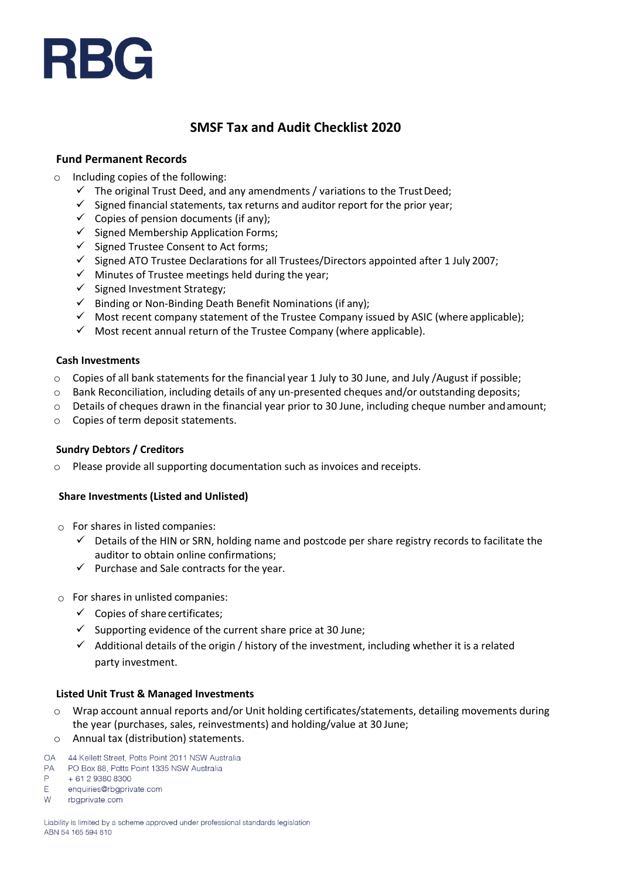# RBG

# **SMSF Tax and Audit Checklist 2020**

# **Fund Permanent Records**

- o Including copies of the following:
	- $\checkmark$  The original Trust Deed, and any amendments / variations to the Trust Deed;
	- $\checkmark$  Signed financial statements, tax returns and auditor report for the prior year;
	- $\checkmark$  Copies of pension documents (if any);
	- $\checkmark$  Signed Membership Application Forms;
	- ✓ Signed Trustee Consent to Act forms;
	- $\checkmark$  Signed ATO Trustee Declarations for all Trustees/Directors appointed after 1 July 2007;
	- ✓ Minutes of Trustee meetings held during the year;
	- ✓ Signed Investment Strategy;
	- $\checkmark$  Binding or Non-Binding Death Benefit Nominations (if any);
	- $\checkmark$  Most recent company statement of the Trustee Company issued by ASIC (where applicable);
	- $\checkmark$  Most recent annual return of the Trustee Company (where applicable).

### **Cash Investments**

- $\circ$  Copies of all bank statements for the financial year 1 July to 30 June, and July /August if possible;
- o Bank Reconciliation, including details of any un-presented cheques and/or outstanding deposits;
- $\circ$  Details of cheques drawn in the financial year prior to 30 June, including cheque number and amount;
- o Copies of term deposit statements.

### **Sundry Debtors / Creditors**

o Please provide all supporting documentation such as invoices and receipts.

# **Share Investments (Listed and Unlisted)**

- $\circ$  For shares in listed companies:
	- $\checkmark$  Details of the HIN or SRN, holding name and postcode per share registry records to facilitate the auditor to obtain online confirmations;
	- $\checkmark$  Purchase and Sale contracts for the year.
- $\circ$  For shares in unlisted companies:
	- $\checkmark$  Copies of share certificates;
	- $\checkmark$  Supporting evidence of the current share price at 30 June;
	- $\checkmark$  Additional details of the origin / history of the investment, including whether it is a related party investment.

### **Listed Unit Trust & Managed Investments**

- Wrap account annual reports and/or Unit holding certificates/statements, detailing movements during the year (purchases, sales, reinvestments) and holding/value at 30 June;
- o Annual tax (distribution) statements.
- OA 44 Kellett Street, Potts Point 2011 NSW Australia
- **PA** PO Box 88, Potts Point 1335 NSW Australia
- P + 61 2 9380 8300
- E. enquiries@rbaprivate.com
- W rbgprivate.com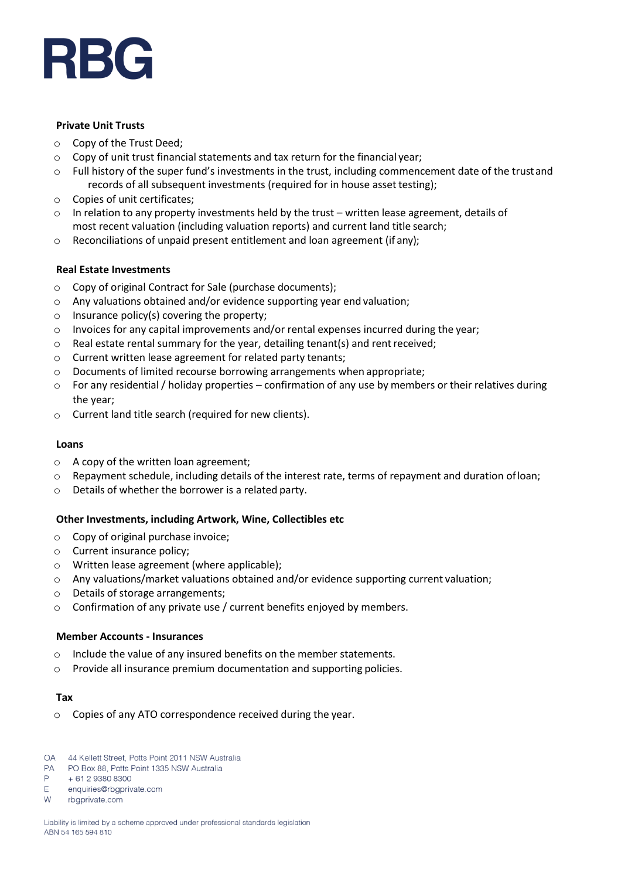

# **Private Unit Trusts**

- o Copy of the Trust Deed;
- $\circ$  Copy of unit trust financial statements and tax return for the financial year;
- o Full history of the super fund's investments in the trust, including commencement date of the trustand records of all subsequent investments (required for in house asset testing);
- o Copies of unit certificates;
- $\circ$  In relation to any property investments held by the trust written lease agreement, details of most recent valuation (including valuation reports) and current land title search;
- o Reconciliations of unpaid present entitlement and loan agreement (if any);

# **Real Estate Investments**

- o Copy of original Contract for Sale (purchase documents);
- o Any valuations obtained and/or evidence supporting year end valuation;
- $\circ$  Insurance policy(s) covering the property;
- $\circ$  Invoices for any capital improvements and/or rental expenses incurred during the year;
- o Real estate rental summary for the year, detailing tenant(s) and rentreceived;
- o Current written lease agreement for related party tenants;
- $\circ$  Documents of limited recourse borrowing arrangements when appropriate;
- o For any residential / holiday properties confirmation of any use by members or their relatives during the year;
- o Current land title search (required for new clients).

#### **Loans**

- o A copy of the written loan agreement;
- $\circ$  Repayment schedule, including details of the interest rate, terms of repayment and duration of loan;
- o Details of whether the borrower is a related party.

## **Other Investments, including Artwork, Wine, Collectibles etc**

- o Copy of original purchase invoice;
- o Current insurance policy;
- o Written lease agreement (where applicable);
- $\circ$  Any valuations/market valuations obtained and/or evidence supporting current valuation;
- o Details of storage arrangements;
- o Confirmation of any private use / current benefits enjoyed by members.

### **Member Accounts - Insurances**

- o Include the value of any insured benefits on the member statements.
- o Provide all insurance premium documentation and supporting policies.

#### **Tax**

- o Copies of any ATO correspondence received during the year.
- OA 44 Kellett Street, Potts Point 2011 NSW Australia
- $PA$ PO Box 88, Potts Point 1335 NSW Australia
- P + 61 2 9380 8300
- E. enquiries@rbaprivate.com
- W rbgprivate.com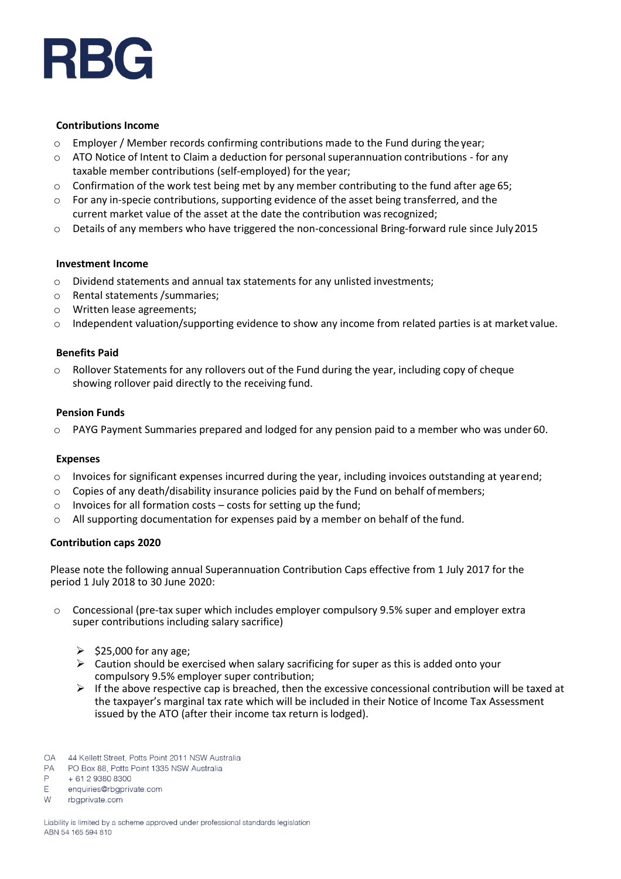

#### **Contributions Income**

- $\circ$  Employer / Member records confirming contributions made to the Fund during the year;
- $\circ$  ATO Notice of Intent to Claim a deduction for personal superannuation contributions for any taxable member contributions (self-employed) for the year;
- $\circ$  Confirmation of the work test being met by any member contributing to the fund after age 65;
- $\circ$  For any in-specie contributions, supporting evidence of the asset being transferred, and the current market value of the asset at the date the contribution wasrecognized;
- o Details of any members who have triggered the non-concessional Bring-forward rule since July2015

#### **Investment Income**

- $\circ$  Dividend statements and annual tax statements for any unlisted investments;
- o Rental statements /summaries;
- o Written lease agreements;
- $\circ$  Independent valuation/supporting evidence to show any income from related parties is at market value.

#### **Benefits Paid**

 $\circ$  Rollover Statements for any rollovers out of the Fund during the year, including copy of cheque showing rollover paid directly to the receiving fund.

#### **Pension Funds**

PAYG Payment Summaries prepared and lodged for any pension paid to a member who was under 60.

#### **Expenses**

- $\circ$  Invoices for significant expenses incurred during the year, including invoices outstanding at yearend;
- $\circ$  Copies of any death/disability insurance policies paid by the Fund on behalf of members;
- $\circ$  Invoices for all formation costs costs for setting up the fund;
- $\circ$  All supporting documentation for expenses paid by a member on behalf of the fund.

#### **Contribution caps 2020**

Please note the following annual Superannuation Contribution Caps effective from 1 July 2017 for the period 1 July 2018 to 30 June 2020:

- o Concessional (pre-tax super which includes employer compulsory 9.5% super and employer extra super contributions including salary sacrifice)
	- $\geq$  \$25,000 for any age;
	- $\triangleright$  Caution should be exercised when salary sacrificing for super as this is added onto your compulsory 9.5% employer super contribution;
	- $\triangleright$  If the above respective cap is breached, then the excessive concessional contribution will be taxed at the taxpayer's marginal tax rate which will be included in their Notice of Income Tax Assessment issued by the ATO (after their income tax return is lodged).
- OA 44 Kellett Street, Potts Point 2011 NSW Australia
- $PA$ PO Box 88, Potts Point 1335 NSW Australia
- P + 61 2 9380 8300
- E enquiries@rbgprivate.com
- **W** rbaprivate.com